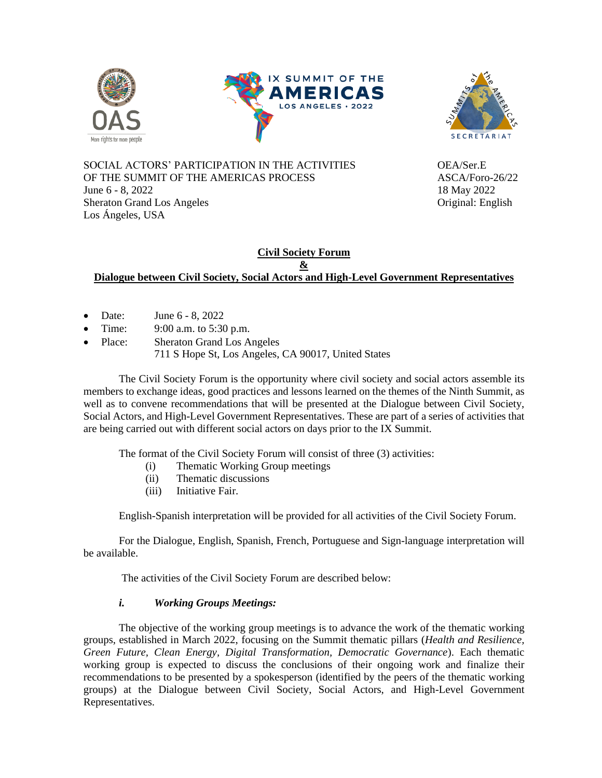





SOCIAL ACTORS' PARTICIPATION IN THE ACTIVITIES OEA/Ser.E OF THE SUMMIT OF THE AMERICAS PROCESS ASCA/Foro-26/22 June 6 - 8, 2022 18 May 2022 Sheraton Grand Los Angeles **Original:** English Los Ángeles, USA

### **Civil Society Forum & Dialogue between Civil Society, Social Actors and High-Level Government Representatives**

- Date: June 6 8, 2022
- Time: 9:00 a.m. to 5:30 p.m.
- Place: Sheraton Grand Los Angeles 711 S Hope St, Los Angeles, CA 90017, United States

The Civil Society Forum is the opportunity where civil society and social actors assemble its members to exchange ideas, good practices and lessons learned on the themes of the Ninth Summit, as well as to convene recommendations that will be presented at the Dialogue between Civil Society, Social Actors, and High-Level Government Representatives. These are part of a series of activities that are being carried out with different social actors on days prior to the IX Summit.

The format of the Civil Society Forum will consist of three (3) activities:

- (i) Thematic Working Group meetings
- (ii) Thematic discussions
- (iii) Initiative Fair.

English-Spanish interpretation will be provided for all activities of the Civil Society Forum.

For the Dialogue, English, Spanish, French, Portuguese and Sign-language interpretation will be available.

The activities of the Civil Society Forum are described below:

## *i. Working Groups Meetings:*

The objective of the working group meetings is to advance the work of the thematic working groups, established in March 2022, focusing on the Summit thematic pillars (*Health and Resilience, Green Future, Clean Energy, Digital Transformation, Democratic Governance*). Each thematic working group is expected to discuss the conclusions of their ongoing work and finalize their recommendations to be presented by a spokesperson (identified by the peers of the thematic working groups) at the Dialogue between Civil Society, Social Actors, and High-Level Government Representatives.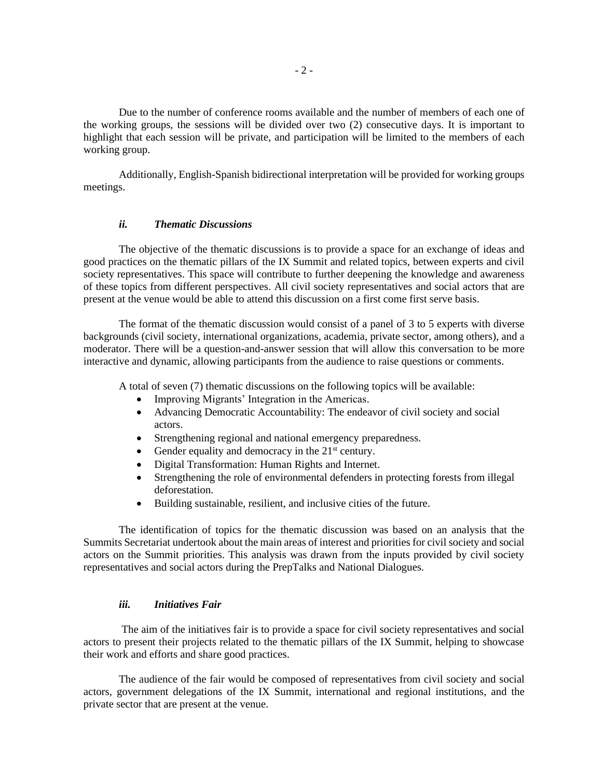Due to the number of conference rooms available and the number of members of each one of the working groups, the sessions will be divided over two (2) consecutive days. It is important to highlight that each session will be private, and participation will be limited to the members of each working group.

Additionally, English-Spanish bidirectional interpretation will be provided for working groups meetings.

#### *ii. Thematic Discussions*

The objective of the thematic discussions is to provide a space for an exchange of ideas and good practices on the thematic pillars of the IX Summit and related topics, between experts and civil society representatives. This space will contribute to further deepening the knowledge and awareness of these topics from different perspectives. All civil society representatives and social actors that are present at the venue would be able to attend this discussion on a first come first serve basis.

The format of the thematic discussion would consist of a panel of 3 to 5 experts with diverse backgrounds (civil society, international organizations, academia, private sector, among others), and a moderator. There will be a question-and-answer session that will allow this conversation to be more interactive and dynamic, allowing participants from the audience to raise questions or comments.

A total of seven (7) thematic discussions on the following topics will be available:

- Improving Migrants' Integration in the Americas.
- Advancing Democratic Accountability: The endeavor of civil society and social actors.
- Strengthening regional and national emergency preparedness.
- Gender equality and democracy in the  $21<sup>st</sup>$  century.
- Digital Transformation: Human Rights and Internet.
- Strengthening the role of environmental defenders in protecting forests from illegal deforestation.
- Building sustainable, resilient, and inclusive cities of the future.

The identification of topics for the thematic discussion was based on an analysis that the Summits Secretariat undertook about the main areas of interest and priorities for civil society and social actors on the Summit priorities. This analysis was drawn from the inputs provided by civil society representatives and social actors during the PrepTalks and National Dialogues.

#### *iii. Initiatives Fair*

The aim of the initiatives fair is to provide a space for civil society representatives and social actors to present their projects related to the thematic pillars of the IX Summit, helping to showcase their work and efforts and share good practices.

The audience of the fair would be composed of representatives from civil society and social actors, government delegations of the IX Summit, international and regional institutions, and the private sector that are present at the venue.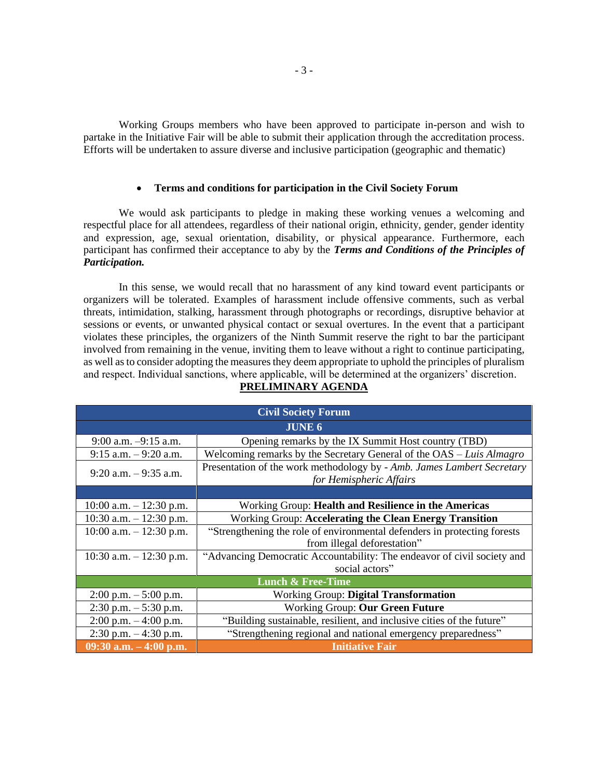Working Groups members who have been approved to participate in-person and wish to partake in the Initiative Fair will be able to submit their application through the accreditation process. Efforts will be undertaken to assure diverse and inclusive participation (geographic and thematic)

#### • **Terms and conditions for participation in the Civil Society Forum**

We would ask participants to pledge in making these working venues a welcoming and respectful place for all attendees, regardless of their national origin, ethnicity, gender, gender identity and expression, age, sexual orientation, disability, or physical appearance. Furthermore, each participant has confirmed their acceptance to aby by the *Terms and Conditions of the Principles of Participation.*

In this sense, we would recall that no harassment of any kind toward event participants or organizers will be tolerated. Examples of harassment include offensive comments, such as verbal threats, intimidation, stalking, harassment through photographs or recordings, disruptive behavior at sessions or events, or unwanted physical contact or sexual overtures. In the event that a participant violates these principles, the organizers of the Ninth Summit reserve the right to bar the participant involved from remaining in the venue, inviting them to leave without a right to continue participating, as well as to consider adopting the measures they deem appropriate to uphold the principles of pluralism and respect. Individual sanctions, where applicable, will be determined at the organizers' discretion.

| <b>Civil Society Forum</b>   |                                                                                                   |  |
|------------------------------|---------------------------------------------------------------------------------------------------|--|
| <b>JUNE 6</b>                |                                                                                                   |  |
| $9:00$ a.m. $-9:15$ a.m.     | Opening remarks by the IX Summit Host country (TBD)                                               |  |
| $9:15$ a.m. $-9:20$ a.m.     | Welcoming remarks by the Secretary General of the OAS - Luis Almagro                              |  |
| $9:20$ a.m. $-9:35$ a.m.     | Presentation of the work methodology by - Amb. James Lambert Secretary<br>for Hemispheric Affairs |  |
|                              |                                                                                                   |  |
| 10:00 a.m. $-$ 12:30 p.m.    | Working Group: Health and Resilience in the Americas                                              |  |
| 10:30 a.m. $- 12:30$ p.m.    | <b>Working Group: Accelerating the Clean Energy Transition</b>                                    |  |
| $10:00$ a.m. $-12:30$ p.m.   | "Strengthening the role of environmental defenders in protecting forests                          |  |
|                              | from illegal deforestation"                                                                       |  |
| 10:30 a.m. $- 12:30$ p.m.    | "Advancing Democratic Accountability: The endeavor of civil society and                           |  |
|                              | social actors"                                                                                    |  |
| <b>Lunch &amp; Free-Time</b> |                                                                                                   |  |
| $2:00$ p.m. $-5:00$ p.m.     | Working Group: Digital Transformation                                                             |  |
| $2:30$ p.m. $-5:30$ p.m.     | Working Group: Our Green Future                                                                   |  |
| $2:00$ p.m. $-4:00$ p.m.     | "Building sustainable, resilient, and inclusive cities of the future"                             |  |
| $2:30$ p.m. $-4:30$ p.m.     | "Strengthening regional and national emergency preparedness"                                      |  |
| 09:30 a.m. $-4:00$ p.m.      | <b>Initiative Fair</b>                                                                            |  |

# **PRELIMINARY AGENDA**